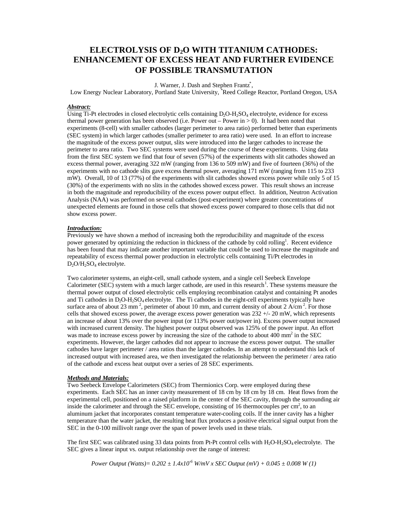# **ELECTROLYSIS OF D2O WITH TITANIUM CATHODES: ENHANCEMENT OF EXCESS HEAT AND FURTHER EVIDENCE OF POSSIBLE TRANSMUTATION**

## J. Warner, J. Dash and Stephen Frantz<sup>\*</sup>,

Low Energy Nuclear Laboratory, Portland State University, \*Reed College Reactor, Portland Oregon, USA

## *Abstract:*

Using Ti-Pt electrodes in closed electrolytic cells containing  $D_2O-H_2SO_4$  electrolyte, evidence for excess thermal power generation has been observed (i.e. Power out – Power in  $> 0$ ). It had been noted that experiments (8-cell) with smaller cathodes (larger perimeter to area ratio) performed better than experiments (SEC system) in which larger cathodes (smaller perimeter to area ratio) were used. In an effort to increase the magnitude of the excess power output, slits were introduced into the larger cathodes to increase the perimeter to area ratio. Two SEC systems were used during the course of these experiments. Using data from the first SEC system we find that four of seven (57%) of the experiments with slit cathodes showed an excess thermal power, averaging 322 mW (ranging from 136 to 509 mW) and five of fourteen (36%) of the experiments with no cathode slits gave excess thermal power, averaging 171 mW (ranging from 115 to 233 mW). Overall, 10 of 13 (77%) of the experiments with slit cathodes showed excess power while only 5 of 15 (30%) of the experiments with no slits in the cathodes showed excess power. This result shows an increase in both the magnitude and reproducibility of the excess power output effect. In addition, Neutron Activation Analysis (NAA) was performed on several cathodes (post-experiment) where greater concentrations of unexpected elements are found in those cells that showed excess power compared to those cells that did not show excess power.

### *Introduction:*

Previously we have shown a method of increasing both the reproducibility and magnitude of the excess power generated by optimizing the reduction in thickness of the cathode by cold rolling<sup>1</sup>. Recent evidence has been found that may indicate another important variable that could be used to increase the magnitude and repeatability of excess thermal power production in electrolytic cells containing Ti/Pt electrodes in D<sub>2</sub>O/H<sub>2</sub>SO<sub>4</sub> electrolyte.

Two calorimeter systems, an eight-cell, small cathode system, and a single cell Seebeck Envelope Calorimeter (SEC) system with a much larger cathode, are used in this research<sup>1</sup>. These systems measure the thermal power output of closed electrolytic cells employing recombination catalyst and containing Pt anodes and Ti cathodes in D<sub>2</sub>O-H<sub>2</sub>SO<sub>4</sub> electrolyte. The Ti cathodes in the eight-cell experiments typically have surface area of about 23 mm<sup>2</sup>, perimeter of about 10 mm, and current density of about 2 A/cm<sup>2</sup>. For those cells that showed excess power, the average excess power generation was  $232 +1$ - 20 mW, which represents an increase of about 13% over the power input (or 113% power out/power in). Excess power output increased with increased current density. The highest power output observed was 125% of the power input. An effort was made to increase excess power by increasing the size of the cathode to about  $400 \text{ mm}^2$  in the SEC experiments. However, the larger cathodes did not appear to increase the excess power output. The smaller cathodes have larger perimeter / area ratios than the larger cathodes. In an attempt to understand this lack of increased output with increased area, we then investigated the relationship between the perimeter / area ratio of the cathode and excess heat output over a series of 28 SEC experiments.

#### *Methods and Materials:*

Two Seebeck Envelope Calorimeters (SEC) from Thermionics Corp. were employed during these experiments. Each SEC has an inner cavity measurement of 18 cm by 18 cm by 18 cm. Heat flows from the experimental cell, positioned on a raised platform in the center of the SEC cavity, through the surrounding air inside the calorimeter and through the SEC envelope, consisting of 16 thermocouples per  $\text{cm}^2$ , to an aluminum jacket that incorporates constant temperature water-cooling coils. If the inner cavity has a higher temperature than the water jacket, the resulting heat flux produces a positive electrical signal output from the SEC in the 0-100 millivolt range over the span of power levels used in these trials.

The first SEC was calibrated using 33 data points from Pt-Pt control cells with H<sub>2</sub>O-H<sub>2</sub>SO<sub>4</sub> electrolyte. The SEC gives a linear input vs. output relationship over the range of interest:

*Power Output (Watts)= 0.202 ± 1.4x10-6 W/mV x SEC Output (mV) + 0.045 ± 0.008 W (1)*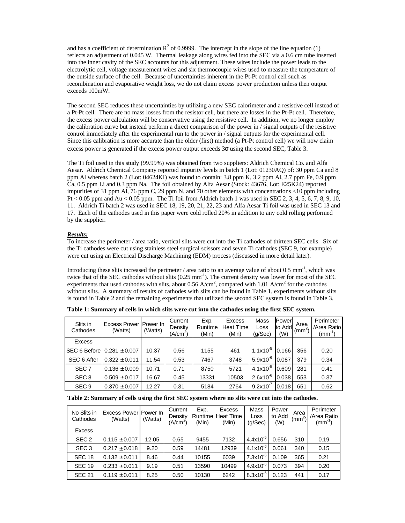and has a coefficient of determination  $R^2$  of 0.9999. The intercept in the slope of the line equation (1) reflects an adjustment of 0.045 W. Thermal leakage along wires fed into the SEC via a 0.6 cm tube inserted into the inner cavity of the SEC accounts for this adjustment. These wires include the power leads to the electrolytic cell, voltage measurement wires and six thermocouple wires used to measure the temperature of the outside surface of the cell. Because of uncertainties inherent in the Pt-Pt control cell such as recombination and evaporative weight loss, we do not claim excess power production unless then output exceeds 100mW.

The second SEC reduces these uncertainties by utilizing a new SEC calorimeter and a resistive cell instead of a Pt-Pt cell. There are no mass losses from the resistor cell, but there are losses in the Pt-Pt cell. Therefore, the excess power calculation will be conservative using the resistive cell. In addition, we no longer employ the calibration curve but instead perform a direct comparison of the power in / signal outputs of the resistive control immediately after the experimental run to the power in / signal outputs for the experimental cell. Since this calibration is more accurate than the older (first) method (a Pt-Pt control cell) we will now claim excess power is generated if the excess power output exceeds  $3\sigma$  using the second SEC, Table 3.

The Ti foil used in this study (99.99%) was obtained from two suppliers: Aldrich Chemical Co. and Alfa Aesar. Aldrich Chemical Company reported impurity levels in batch 1 (Lot: 01230AQ) of: 30 ppm Ca and 8 ppm Al whereas batch 2 (Lot: 04624KI) was found to contain: 3.8 ppm K, 3.2 ppm Al, 2.7 ppm Fe, 0.9 ppm Ca, 0.5 ppm Li and 0.3 ppm Na. The foil obtained by Alfa Aesar (Stock: 43676, Lot: E25K24) reported impurities of 31 ppm Al, 76 ppm C, 29 ppm N, and 70 other elements with concentrations <10 ppm including Pt < 0.05 ppm and Au < 0.05 ppm. The Ti foil from Aldrich batch 1 was used in SEC 2, 3, 4, 5, 6, 7, 8, 9, 10, 11. Aldrich Ti batch 2 was used in SEC 18, 19, 20, 21, 22, 23 and Alfa Aesar Ti foil was used in SEC 13 and 17. Each of the cathodes used in this paper were cold rolled 20% in addition to any cold rolling performed by the supplier.

## *Results:*

To increase the perimeter / area ratio, vertical slits were cut into the Ti cathodes of thirteen SEC cells. Six of the Ti cathodes were cut using stainless steel surgical scissors and seven Ti cathodes (SEC 9, for example) were cut using an Electrical Discharge Machining (EDM) process (discussed in more detail later).

Introducing these slits increased the perimeter / area ratio to an average value of about  $0.5 \text{ mm}^{-1}$ , which was twice that of the SEC cathodes without slits  $(0.25 \text{ mm}^{-1})$ . The current density was lower for most of the SEC experiments that used cathodes with slits, about  $0.56$  A/cm<sup>2</sup>, compared with 1.01 A/cm<sup>2</sup> for the cathodes without slits. A summary of results of cathodes with slits can be found in Table 1, experiments without slits is found in Table 2 and the remaining experiments that utilized the second SEC system is found in Table 3.

| Slits in<br>Cathodes | <b>Excess Power   Power Inl</b><br>(Watts) | (Watts) | Current<br>Density<br>(A/cm <sup>∠</sup> ) | Exp.<br>Runtime<br>(Min) | <b>Excess</b><br><b>Heat Time</b><br>(Min) | Mass<br>Loss<br>(g/Sec) | Power<br>to Add<br>(W) | Area<br>(mm <sup>2</sup> ) | Perimeter<br>/Area Ratio<br>$\rm (mm^{-1})$ |
|----------------------|--------------------------------------------|---------|--------------------------------------------|--------------------------|--------------------------------------------|-------------------------|------------------------|----------------------------|---------------------------------------------|
| Excess               |                                            |         |                                            |                          |                                            |                         |                        |                            |                                             |
| <b>SEC 6 Before</b>  | $0.281 \pm 0.007$                          | 10.37   | 0.56                                       | 1155                     | 461                                        | $1.1x10^{-5}$           | 0.166                  | 356                        | 0.20                                        |
| SEC 6 After          | $0.322 \pm 0.011$                          | 11.54   | 0.53                                       | 7467                     | 3748                                       | $5.9x10^{-6}$           | 0.087                  | 379                        | 0.34                                        |
| SEC <sub>7</sub>     | $0.136 \pm 0.009$                          | 10.71   | 0.71                                       | 8750                     | 5721                                       | $4.1x10^{-5}$           | 0.609                  | 281                        | 0.41                                        |
| SEC <sub>8</sub>     | $0.509 \pm 0.017$                          | 16.67   | 0.45                                       | 13331                    | 10503                                      | $2.6x10^{-6}$           | 0.038                  | 553                        | 0.37                                        |
| SEC <sub>9</sub>     | $0.370 \pm 0.007$                          | 12.27   | 0.31                                       | 5184                     | 2764                                       | $9.2x10^{-7}$           | 0.018                  | 651                        | 0.62                                        |

**Table 1: Summary of cells in which slits were cut into the cathodes using the first SEC system.**

| Table 2: Summary of cells using the first SEC system where no slits were cut into the cathodes. |  |  |  |
|-------------------------------------------------------------------------------------------------|--|--|--|
|-------------------------------------------------------------------------------------------------|--|--|--|

| No Slits in<br>Cathodes | Excess Power Power In<br>(Watts) | (Watts) | Current<br>Density<br>(A/cm <sup>∠</sup> | Exp.<br>Runtime<br>(Min) | Excess<br><b>Heat Time</b><br>(Min) | Mass<br>Loss<br>(g/Sec) | Power<br>to Add<br>(W) | Area<br>(mm <sup>2</sup> ) | Perimeter<br>/Area Ratio<br>$(mm^{-1})$ |
|-------------------------|----------------------------------|---------|------------------------------------------|--------------------------|-------------------------------------|-------------------------|------------------------|----------------------------|-----------------------------------------|
| Excess                  |                                  |         |                                          |                          |                                     |                         |                        |                            |                                         |
| SEC <sub>2</sub>        | $0.115 \pm 0.007$                | 12.05   | 0.65                                     | 9455                     | 7132                                | $4.4x10^{-5}$           | 0.656                  | 310                        | 0.19                                    |
| SEC <sub>3</sub>        | $0.217 \pm 0.018$                | 9.20    | 0.59                                     | 14481                    | 12939                               | $4.1x10^{-6}$           | 0.061                  | 340                        | 0.15                                    |
| <b>SEC 18</b>           | $0.132 \pm 0.011$                | 8.46    | 0.44                                     | 10155                    | 6039                                | $7.3x10^{-6}$           | 0.109                  | 365                        | 0.21                                    |
| <b>SEC 19</b>           | $0.233 \pm 0.011$                | 9.19    | 0.51                                     | 13590                    | 10499                               | $4.9x10^{-6}$           | 0.073                  | 394                        | 0.20                                    |
| <b>SEC 21</b>           | $0.119 \pm 0.011$                | 8.25    | 0.50                                     | 10130                    | 6242                                | $8.3x10^{-6}$           | 0.123                  | 441                        | 0.17                                    |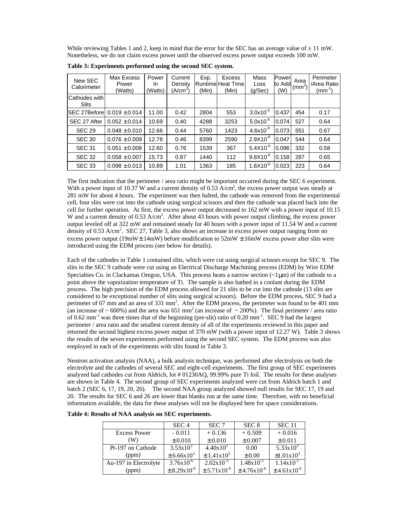While reviewing Tables 1 and 2, keep in mind that the error for the SEC has an average value of  $\pm 11$  mW. Nonetheless, we do not claim excess power until the observed excess power output exceeds 100 mW.

| New SEC<br>Calorimeter        | Max Excess<br>Power<br>(Watts) | Power<br>In<br>(Watts) | Current<br>Density<br>(A/cm <sup>∠</sup> | Exp.<br>(Min) | <b>Excess</b><br>Runtime Heat Time<br>(Min) | Mass<br>Loss<br>(g/Sec) | Power<br>to Add<br>(W) | Area<br>$\text{m}^2$ | Perimeter<br>/Area Ratio<br>$\mathsf{(mm}^{\text{-}1})$ |
|-------------------------------|--------------------------------|------------------------|------------------------------------------|---------------|---------------------------------------------|-------------------------|------------------------|----------------------|---------------------------------------------------------|
| Cathodes with<br><b>Slits</b> |                                |                        |                                          |               |                                             |                         |                        |                      |                                                         |
| <b>SEC 27Before</b>           | $0.019 \pm 0.014$              | 11.00                  | 0.42                                     | 2804          | 553                                         | $3.0x10^{-5}$           | 0.437                  | 454                  | 0.17                                                    |
| SEC 27 After                  | $0.052 \pm 0.014$              | 10.69                  | 0.40                                     | 4288          | 3253                                        | $5.0x10^{-6}$           | 0.074                  | 527                  | 0.64                                                    |
| <b>SEC 29</b>                 | $0.048 \pm 0.010$              | 12.66                  | 0.44                                     | 5760          | 1423                                        | $4.6x10^{-6}$           | 0.073                  | 551                  | 0.67                                                    |
| <b>SEC 30</b>                 | $0.076 \pm 0.009$              | 12.78                  | 0.46                                     | 8399          | 2590                                        | $2.9X10^{-6}$           | 0.047                  | 544                  | 0.64                                                    |
| <b>SEC 31</b>                 | $0.051 \pm 0.008$              | 12.60                  | 0.76                                     | 1539          | 367                                         | $5.4X10^{-6}$           | 0.096                  | 332                  | 0.58                                                    |
| <b>SEC 32</b>                 | $0.058 \pm 0.007$              | 15.73                  | 0.87                                     | 1440          | 112                                         | $9.8X10^{-6}$           | 0.158                  | 287                  | 0.65                                                    |
| <b>SEC 33</b>                 | $0.098 \pm 0.013$              | 10.89                  | 1.01                                     | 1363          | 185                                         | $1.6X10^{-6}$           | 0.023                  | 223                  | 0.64                                                    |

**Table 3: Experiments performed using the second SEC system.**

The first indication that the perimeter / area ratio might be important occurred during the SEC 6 experiment. With a power input of 10.37 W and a current density of 0.53  $\text{A/cm}^2$ , the excess power output was steady at 281 mW for about 4 hours. The experiment was then halted, the cathode was removed from the experimental cell, four slits were cut into the cathode using surgical scissors and then the cathode was placed back into the cell for further operation. At first, the excess power output decreased to 162 mW with a power input of 10.15 W and a current density of 0.53 A/cm<sup>2</sup>. After about 43 hours with power output climbing, the excess power output leveled off at 322 mW and remained steady for 40 hours with a power input of 11.54 W and a current density of 0.53 A/cm<sup>2</sup>. SEC 27, Table 3, also shows an increase in excess power output ranging from no excess power output (19mW $\pm$  14mW) before modification to 52mW  $\pm$  16mW excess power after slits were introduced using the EDM process (see below for details).

Each of the cathodes in Table 1 contained slits, which were cut using surgical scissors except for SEC 9. The slits in the SEC 9 cathode were cut using an Electrical Discharge Machining process (EDM) by Wire EDM Specialties Co. in Clackamas Oregon, USA. This process heats a narrow section (~1μm) of the cathode to a point above the vaporization temperature of Ti. The sample is also bathed in a coolant during the EDM process. The high precision of the EDM process allowed for 21 slits to be cut into the cathode (13 slits are considered to be exceptional number of slits using surgical scissors). Before the EDM process, SEC 9 had a perimeter of 67 mm and an area of 331 mm<sup>2</sup>. After the EDM process, the perimeter was found to be 401 mm (an increase of  $\sim 600\%$ ) and the area was 651 mm<sup>2</sup> (an increase of  $\sim 200\%$ ). The final perimeter / area ratio of 0.62 mm<sup>-1</sup> was three times that of the beginning (pre-slit) ratio of 0.20 mm<sup>-1</sup>. SEC 9 had the largest perimeter / area ratio and the smallest current density of all of the experiments reviewed in this paper and returned the second highest excess power output of 370 mW (with a power input of 12.27 W). Table 3 shows the results of the seven experiments performed using the second SEC system. The EDM process was also employed in each of the experiments with slits found in Table 3.

Neutron activation analysis (NAA), a bulk analysis technique, was performed after electrolysis on both the electrolyte and the cathodes of several SEC and eight-cell experiments. The first group of SEC experiments analyzed had cathodes cut from Aldrich, lot # 01230AQ, 99.99% pure Ti foil. The results for these analyses are shown in Table 4. The second group of SEC experiments analyzed were cut from Aldrich batch 1 and batch 2 (SEC 6, 17, 19, 20, 26). The second NAA group analyzed showed null results for SEC 17, 19 and 20. The results for SEC 6 and 26 are lower than blanks run at the same time. Therefore, with no beneficial information available, the data for these analyses will not be displayed here for space considerations.

|                       | SEC <sub>4</sub>          | SEC <sub>7</sub>            | SEC <sub>8</sub>            | SEC <sub>11</sub>           |
|-----------------------|---------------------------|-----------------------------|-----------------------------|-----------------------------|
| <b>Excess Power</b>   | $-0.011$                  | $+0.136$                    | $+0.509$                    | $+0.016$                    |
| (W)                   | $\pm 0.010$               | $\pm 0.010$                 | $\pm 0.007$                 | $\pm 0.011$                 |
| Pt-197 on Cathode     | $3.53 \times 10^3$        | $4.40x10^{2}$               | 0.00                        | $5.33 \times 10^{3}$        |
| (ppm)                 | $\pm 6.66 \times 10^{2}$  | $\pm 1.41x10^{2}$           | $\pm 0.00$                  | $\pm 1.01x10^3$             |
| Au-197 in Electrolyte | $3.76x10^{-6}$            | $2.02 \times 10^{-5}$       | $1.48 \times 10^{-5}$       | $1.14x10^{-5}$              |
| (ppm)                 | $\pm 8.29 \times 10^{-6}$ | $\pm$ 5.71x10 <sup>-6</sup> | $\pm$ 4.76x10 <sup>-6</sup> | $\pm$ 4.61x10 <sup>-6</sup> |

**Table 4: Results of NAA analysis on SEC experiments.**